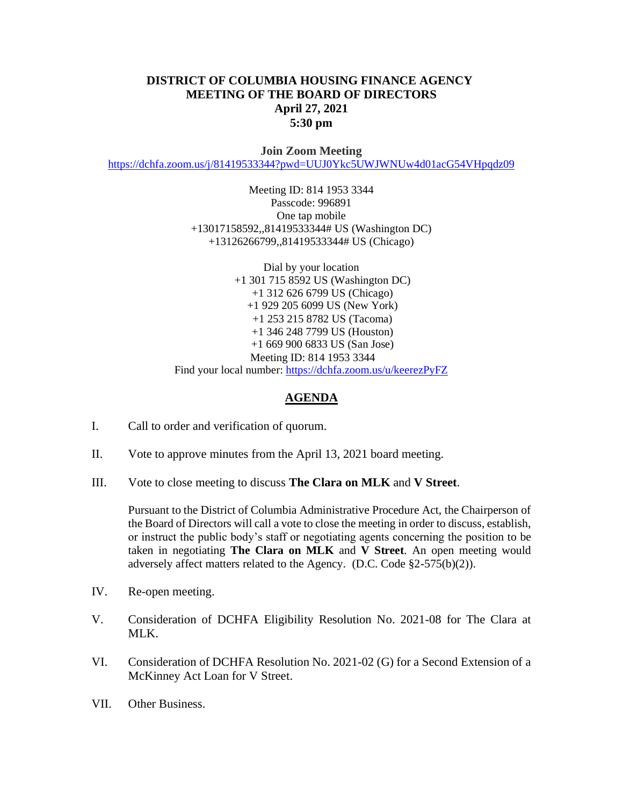## **DISTRICT OF COLUMBIA HOUSING FINANCE AGENCY MEETING OF THE BOARD OF DIRECTORS April 27, 2021 5:30 pm**

**Join Zoom Meeting** <https://dchfa.zoom.us/j/81419533344?pwd=UUJ0Ykc5UWJWNUw4d01acG54VHpqdz09>

> Meeting ID: 814 1953 3344 Passcode: 996891 One tap mobile +13017158592,,81419533344# US (Washington DC) +13126266799,,81419533344# US (Chicago)

Dial by your location +1 301 715 8592 US (Washington DC) +1 312 626 6799 US (Chicago) +1 929 205 6099 US (New York) +1 253 215 8782 US (Tacoma) +1 346 248 7799 US (Houston) +1 669 900 6833 US (San Jose) Meeting ID: 814 1953 3344 Find your local number:<https://dchfa.zoom.us/u/keerezPyFZ>

## **AGENDA**

- I. Call to order and verification of quorum.
- II. Vote to approve minutes from the April 13, 2021 board meeting.
- III. Vote to close meeting to discuss **The Clara on MLK** and **V Street**.

Pursuant to the District of Columbia Administrative Procedure Act, the Chairperson of the Board of Directors will call a vote to close the meeting in order to discuss, establish, or instruct the public body's staff or negotiating agents concerning the position to be taken in negotiating **The Clara on MLK** and **V Street**. An open meeting would adversely affect matters related to the Agency. (D.C. Code §2-575(b)(2)).

- IV. Re-open meeting.
- V. Consideration of DCHFA Eligibility Resolution No. 2021-08 for The Clara at MLK.
- VI. Consideration of DCHFA Resolution No. 2021-02 (G) for a Second Extension of a McKinney Act Loan for V Street.
- VII. Other Business.